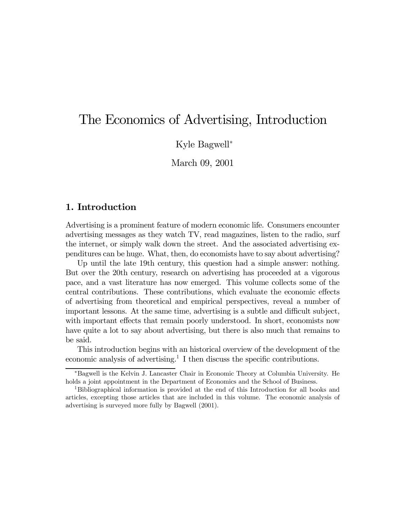# The Economics of Advertising, Introduction

Kyle Bagwell<sup>∗</sup>

March 09, 2001

# 1. Introduction

Advertising is a prominent feature of modern economic life. Consumers encounter advertising messages as they watch TV, read magazines, listen to the radio, surf the internet, or simply walk down the street. And the associated advertising expenditures can be huge. What, then, do economists have to say about advertising?

Up until the late 19th century, this question had a simple answer: nothing. But over the 20th century, research on advertising has proceeded at a vigorous pace, and a vast literature has now emerged. This volume collects some of the central contributions. These contributions, which evaluate the economic effects of advertising from theoretical and empirical perspectives, reveal a number of important lessons. At the same time, advertising is a subtle and difficult subject, with important effects that remain poorly understood. In short, economists now have quite a lot to say about advertising, but there is also much that remains to be said.

This introduction begins with an historical overview of the development of the economic analysis of advertising.<sup>1</sup> I then discuss the specific contributions.

<sup>∗</sup>Bagwell is the Kelvin J. Lancaster Chair in Economic Theory at Columbia University. He holds a joint appointment in the Department of Economics and the School of Business.

<sup>1</sup>Bibliographical information is provided at the end of this Introduction for all books and articles, excepting those articles that are included in this volume. The economic analysis of advertising is surveyed more fully by Bagwell (2001).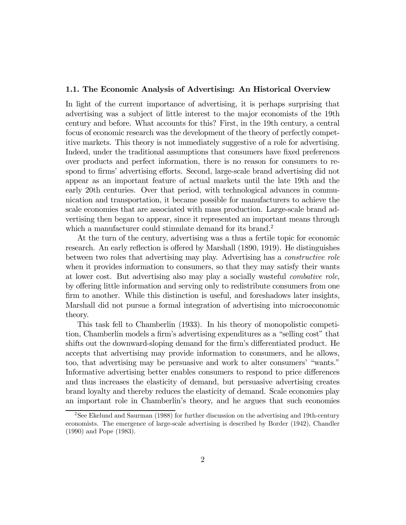#### 1.1. The Economic Analysis of Advertising: An Historical Overview

In light of the current importance of advertising, it is perhaps surprising that advertising was a subject of little interest to the major economists of the 19th century and before. What accounts for this? First, in the 19th century, a central focus of economic research was the development of the theory of perfectly competitive markets. This theory is not immediately suggestive of a role for advertising. Indeed, under the traditional assumptions that consumers have fixed preferences over products and perfect information, there is no reason for consumers to respond to firms' advertising efforts. Second, large-scale brand advertising did not appear as an important feature of actual markets until the late 19th and the early 20th centuries. Over that period, with technological advances in communication and transportation, it became possible for manufacturers to achieve the scale economies that are associated with mass production. Large-scale brand advertising then began to appear, since it represented an important means through which a manufacturer could stimulate demand for its brand.<sup>2</sup>

At the turn of the century, advertising was a thus a fertile topic for economic research. An early reflection is offered by Marshall (1890, 1919). He distinguishes between two roles that advertising may play. Advertising has a constructive role when it provides information to consumers, so that they may satisfy their wants at lower cost. But advertising also may play a socially wasteful combative role, by offering little information and serving only to redistribute consumers from one firm to another. While this distinction is useful, and foreshadows later insights, Marshall did not pursue a formal integration of advertising into microeconomic theory.

This task fell to Chamberlin (1933). In his theory of monopolistic competition, Chamberlin models a firm's advertising expenditures as a "selling cost" that shifts out the downward-sloping demand for the firm's differentiated product. He accepts that advertising may provide information to consumers, and he allows, too, that advertising may be persuasive and work to alter consumers' "wants." Informative advertising better enables consumers to respond to price differences and thus increases the elasticity of demand, but persuasive advertising creates brand loyalty and thereby reduces the elasticity of demand. Scale economies play an important role in Chamberlin's theory, and he argues that such economies

<sup>2</sup>See Ekelund and Saurman (1988) for further discussion on the advertising and 19th-century economists. The emergence of large-scale advertising is described by Border (1942), Chandler (1990) and Pope (1983).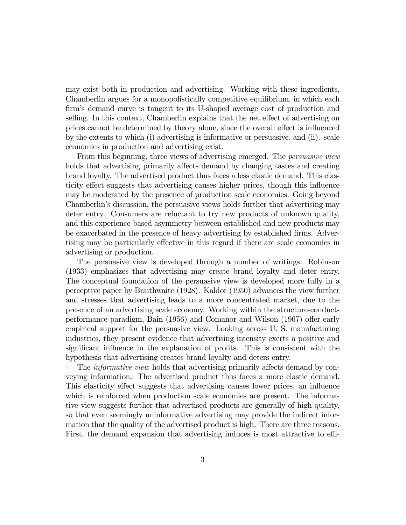may exist both in production and advertising. Working with these ingredients, Chamberlin argues for a monopolistically competitive equilibrium, in which each firm's demand curve is tangent to its U-shaped average cost of production and selling. In this context, Chamberlin explains that the net effect of advertising on prices cannot be determined by theory alone, since the overall effect is influenced by the extents to which (i) advertising is informative or persuasive, and (ii). scale economies in production and advertising exist.

From this beginning, three views of advertising emerged. The *persuasive view* holds that advertising primarily affects demand by changing tastes and creating brand loyalty. The advertised product thus faces a less elastic demand. This elasticity effect suggests that advertising causes higher prices, though this influence may be moderated by the presence of production scale economies. Going beyond Chamberlin's discussion, the persuasive views holds further that advertising may deter entry. Consumers are reluctant to try new products of unknown quality, and this experience-based asymmetry between established and new products may be exacerbated in the presence of heavy advertising by established firms. Advertising may be particularly effective in this regard if there are scale economies in advertising or production.

The persuasive view is developed through a number of writings. Robinson (1933) emphasizes that advertising may create brand loyalty and deter entry. The conceptual foundation of the persuasive view is developed more fully in a perceptive paper by Braithwaite (1928). Kaldor (1950) advances the view further and stresses that advertising leads to a more concentrated market, due to the presence of an advertising scale economy. Working within the structure-conductperformance paradigm, Bain (1956) and Comanor and Wilson (1967) offer early empirical support for the persuasive view. Looking across U. S. manufacturing industries, they present evidence that advertising intensity exerts a positive and significant influence in the explanation of profits. This is consistent with the hypothesis that advertising creates brand loyalty and deters entry.

The *informative view* holds that advertising primarily affects demand by conveying information. The advertised product thus faces a more elastic demand. This elasticity effect suggests that advertising causes lower prices, an influence which is reinforced when production scale economies are present. The informative view suggests further that advertised products are generally of high quality, so that even seemingly uninformative advertising may provide the indirect information that the quality of the advertised product is high. There are three reasons. First, the demand expansion that advertising induces is most attractive to effi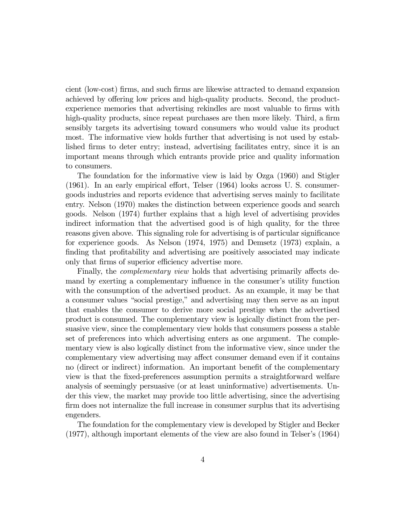cient (low-cost) firms, and such firms are likewise attracted to demand expansion achieved by offering low prices and high-quality products. Second, the productexperience memories that advertising rekindles are most valuable to firms with high-quality products, since repeat purchases are then more likely. Third, a firm sensibly targets its advertising toward consumers who would value its product most. The informative view holds further that advertising is not used by established firms to deter entry; instead, advertising facilitates entry, since it is an important means through which entrants provide price and quality information to consumers.

The foundation for the informative view is laid by Ozga (1960) and Stigler (1961). In an early empirical effort, Telser (1964) looks across U. S. consumergoods industries and reports evidence that advertising serves mainly to facilitate entry. Nelson (1970) makes the distinction between experience goods and search goods. Nelson (1974) further explains that a high level of advertising provides indirect information that the advertised good is of high quality, for the three reasons given above. This signaling role for advertising is of particular significance for experience goods. As Nelson (1974, 1975) and Demsetz (1973) explain, a finding that profitability and advertising are positively associated may indicate only that firms of superior efficiency advertise more.

Finally, the *complementary view* holds that advertising primarily affects demand by exerting a complementary influence in the consumer's utility function with the consumption of the advertised product. As an example, it may be that a consumer values "social prestige," and advertising may then serve as an input that enables the consumer to derive more social prestige when the advertised product is consumed. The complementary view is logically distinct from the persuasive view, since the complementary view holds that consumers possess a stable set of preferences into which advertising enters as one argument. The complementary view is also logically distinct from the informative view, since under the complementary view advertising may affect consumer demand even if it contains no (direct or indirect) information. An important benefit of the complementary view is that the fixed-preferences assumption permits a straightforward welfare analysis of seemingly persuasive (or at least uninformative) advertisements. Under this view, the market may provide too little advertising, since the advertising firm does not internalize the full increase in consumer surplus that its advertising engenders.

The foundation for the complementary view is developed by Stigler and Becker (1977), although important elements of the view are also found in Telser's (1964)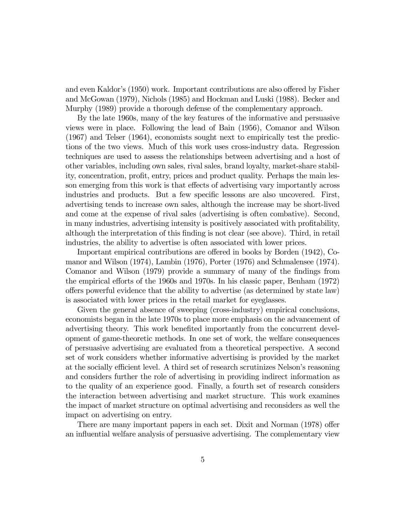and even Kaldor's (1950) work. Important contributions are also offered by Fisher and McGowan (1979), Nichols (1985) and Hockman and Luski (1988). Becker and Murphy (1989) provide a thorough defense of the complementary approach.

By the late 1960s, many of the key features of the informative and persuasive views were in place. Following the lead of Bain (1956), Comanor and Wilson (1967) and Telser (1964), economists sought next to empirically test the predictions of the two views. Much of this work uses cross-industry data. Regression techniques are used to assess the relationships between advertising and a host of other variables, including own sales, rival sales, brand loyalty, market-share stability, concentration, profit, entry, prices and product quality. Perhaps the main lesson emerging from this work is that effects of advertising vary importantly across industries and products. But a few specific lessons are also uncovered. First, advertising tends to increase own sales, although the increase may be short-lived and come at the expense of rival sales (advertising is often combative). Second, in many industries, advertising intensity is positively associated with profitability, although the interpretation of this finding is not clear (see above). Third, in retail industries, the ability to advertise is often associated with lower prices.

Important empirical contributions are offered in books by Borden (1942), Comanor and Wilson (1974), Lambin (1976), Porter (1976) and Schmalensee (1974). Comanor and Wilson (1979) provide a summary of many of the findings from the empirical efforts of the 1960s and 1970s. In his classic paper, Benham (1972) offers powerful evidence that the ability to advertise (as determined by state law) is associated with lower prices in the retail market for eyeglasses.

Given the general absence of sweeping (cross-industry) empirical conclusions, economists began in the late 1970s to place more emphasis on the advancement of advertising theory. This work benefited importantly from the concurrent development of game-theoretic methods. In one set of work, the welfare consequences of persuasive advertising are evaluated from a theoretical perspective. A second set of work considers whether informative advertising is provided by the market at the socially efficient level. A third set of research scrutinizes Nelson's reasoning and considers further the role of advertising in providing indirect information as to the quality of an experience good. Finally, a fourth set of research considers the interaction between advertising and market structure. This work examines the impact of market structure on optimal advertising and reconsiders as well the impact on advertising on entry.

There are many important papers in each set. Dixit and Norman (1978) offer an influential welfare analysis of persuasive advertising. The complementary view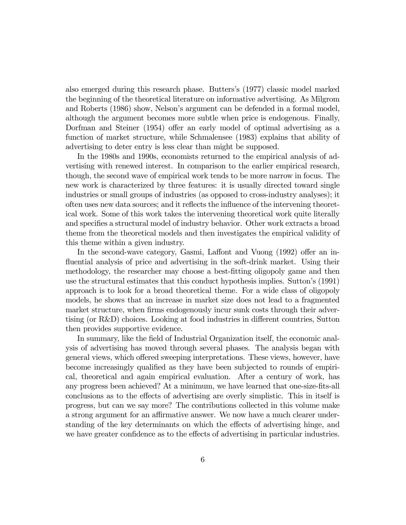also emerged during this research phase. Butters's (1977) classic model marked the beginning of the theoretical literature on informative advertising. As Milgrom and Roberts (1986) show, Nelson's argument can be defended in a formal model, although the argument becomes more subtle when price is endogenous. Finally, Dorfman and Steiner (1954) offer an early model of optimal advertising as a function of market structure, while Schmalensee (1983) explains that ability of advertising to deter entry is less clear than might be supposed.

In the 1980s and 1990s, economists returned to the empirical analysis of advertising with renewed interest. In comparison to the earlier empirical research, though, the second wave of empirical work tends to be more narrow in focus. The new work is characterized by three features: it is usually directed toward single industries or small groups of industries (as opposed to cross-industry analyses); it often uses new data sources; and it reflects the influence of the intervening theoretical work. Some of this work takes the intervening theoretical work quite literally and specifies a structural model of industry behavior. Other work extracts a broad theme from the theoretical models and then investigates the empirical validity of this theme within a given industry.

In the second-wave category, Gasmi, Laffont and Vuong (1992) offer an influential analysis of price and advertising in the soft-drink market. Using their methodology, the researcher may choose a best-fitting oligopoly game and then use the structural estimates that this conduct hypothesis implies. Sutton's (1991) approach is to look for a broad theoretical theme. For a wide class of oligopoly models, he shows that an increase in market size does not lead to a fragmented market structure, when firms endogenously incur sunk costs through their advertising (or R&D) choices. Looking at food industries in different countries, Sutton then provides supportive evidence.

In summary, like the field of Industrial Organization itself, the economic analysis of advertising has moved through several phases. The analysis began with general views, which offered sweeping interpretations. These views, however, have become increasingly qualified as they have been subjected to rounds of empirical, theoretical and again empirical evaluation. After a century of work, has any progress been achieved? At a minimum, we have learned that one-size-fits-all conclusions as to the effects of advertising are overly simplistic. This in itself is progress, but can we say more? The contributions collected in this volume make a strong argument for an affirmative answer. We now have a much clearer understanding of the key determinants on which the effects of advertising hinge, and we have greater confidence as to the effects of advertising in particular industries.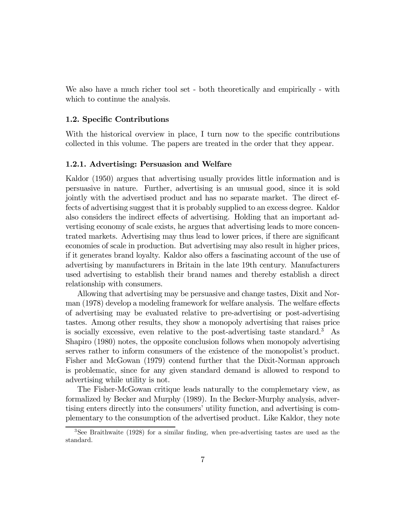We also have a much richer tool set - both theoretically and empirically - with which to continue the analysis.

#### 1.2. Specific Contributions

With the historical overview in place, I turn now to the specific contributions collected in this volume. The papers are treated in the order that they appear.

#### 1.2.1. Advertising: Persuasion and Welfare

Kaldor (1950) argues that advertising usually provides little information and is persuasive in nature. Further, advertising is an unusual good, since it is sold jointly with the advertised product and has no separate market. The direct effects of advertising suggest that it is probably supplied to an excess degree. Kaldor also considers the indirect effects of advertising. Holding that an important advertising economy of scale exists, he argues that advertising leads to more concentrated markets. Advertising may thus lead to lower prices, if there are significant economies of scale in production. But advertising may also result in higher prices, if it generates brand loyalty. Kaldor also offers a fascinating account of the use of advertising by manufacturers in Britain in the late 19th century. Manufacturers used advertising to establish their brand names and thereby establish a direct relationship with consumers.

Allowing that advertising may be persuasive and change tastes, Dixit and Norman (1978) develop a modeling framework for welfare analysis. The welfare effects of advertising may be evaluated relative to pre-advertising or post-advertising tastes. Among other results, they show a monopoly advertising that raises price is socially excessive, even relative to the post-advertising taste standard.<sup>3</sup> As Shapiro (1980) notes, the opposite conclusion follows when monopoly advertising serves rather to inform consumers of the existence of the monopolist's product. Fisher and McGowan (1979) contend further that the Dixit-Norman approach is problematic, since for any given standard demand is allowed to respond to advertising while utility is not.

The Fisher-McGowan critique leads naturally to the complemetary view, as formalized by Becker and Murphy (1989). In the Becker-Murphy analysis, advertising enters directly into the consumers' utility function, and advertising is complementary to the consumption of the advertised product. Like Kaldor, they note

<sup>3</sup>See Braithwaite (1928) for a similar finding, when pre-advertising tastes are used as the standard.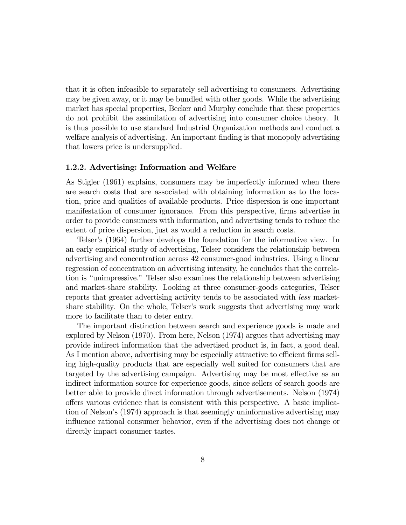that it is often infeasible to separately sell advertising to consumers. Advertising may be given away, or it may be bundled with other goods. While the advertising market has special properties, Becker and Murphy conclude that these properties do not prohibit the assimilation of advertising into consumer choice theory. It is thus possible to use standard Industrial Organization methods and conduct a welfare analysis of advertising. An important finding is that monopoly advertising that lowers price is undersupplied.

## 1.2.2. Advertising: Information and Welfare

As Stigler (1961) explains, consumers may be imperfectly informed when there are search costs that are associated with obtaining information as to the location, price and qualities of available products. Price dispersion is one important manifestation of consumer ignorance. From this perspective, firms advertise in order to provide consumers with information, and advertising tends to reduce the extent of price dispersion, just as would a reduction in search costs.

Telser's (1964) further develops the foundation for the informative view. In an early empirical study of advertising, Telser considers the relationship between advertising and concentration across 42 consumer-good industries. Using a linear regression of concentration on advertising intensity, he concludes that the correlation is "unimpressive." Telser also examines the relationship between advertising and market-share stability. Looking at three consumer-goods categories, Telser reports that greater advertising activity tends to be associated with less marketshare stability. On the whole, Telser's work suggests that advertising may work more to facilitate than to deter entry.

The important distinction between search and experience goods is made and explored by Nelson (1970). From here, Nelson (1974) argues that advertising may provide indirect information that the advertised product is, in fact, a good deal. As I mention above, advertising may be especially attractive to efficient firms selling high-quality products that are especially well suited for consumers that are targeted by the advertising campaign. Advertising may be most effective as an indirect information source for experience goods, since sellers of search goods are better able to provide direct information through advertisements. Nelson (1974) offers various evidence that is consistent with this perspective. A basic implication of Nelson's (1974) approach is that seemingly uninformative advertising may influence rational consumer behavior, even if the advertising does not change or directly impact consumer tastes.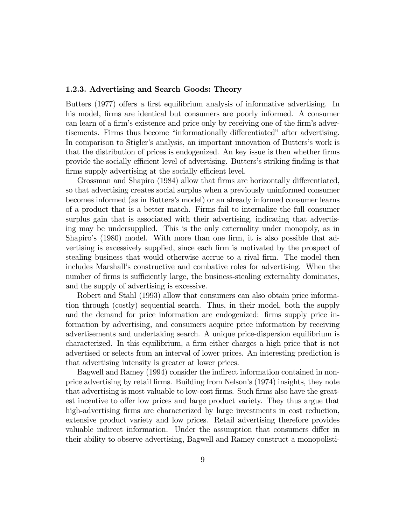#### 1.2.3. Advertising and Search Goods: Theory

Butters (1977) offers a first equilibrium analysis of informative advertising. In his model, firms are identical but consumers are poorly informed. A consumer can learn of a firm's existence and price only by receiving one of the firm's advertisements. Firms thus become "informationally differentiated" after advertising. In comparison to Stigler's analysis, an important innovation of Butters's work is that the distribution of prices is endogenized. An key issue is then whether firms provide the socially efficient level of advertising. Butters's striking finding is that firms supply advertising at the socially efficient level.

Grossman and Shapiro (1984) allow that firms are horizontally differentiated, so that advertising creates social surplus when a previously uninformed consumer becomes informed (as in Butters's model) or an already informed consumer learns of a product that is a better match. Firms fail to internalize the full consumer surplus gain that is associated with their advertising, indicating that advertising may be undersupplied. This is the only externality under monopoly, as in Shapiro's (1980) model. With more than one firm, it is also possible that advertising is excessively supplied, since each firm is motivated by the prospect of stealing business that would otherwise accrue to a rival firm. The model then includes Marshall's constructive and combative roles for advertising. When the number of firms is sufficiently large, the business-stealing externality dominates, and the supply of advertising is excessive.

Robert and Stahl (1993) allow that consumers can also obtain price information through (costly) sequential search. Thus, in their model, both the supply and the demand for price information are endogenized: firms supply price information by advertising, and consumers acquire price information by receiving advertisements and undertaking search. A unique price-dispersion equilibrium is characterized. In this equilibrium, a firm either charges a high price that is not advertised or selects from an interval of lower prices. An interesting prediction is that advertising intensity is greater at lower prices.

Bagwell and Ramey (1994) consider the indirect information contained in nonprice advertising by retail firms. Building from Nelson's (1974) insights, they note that advertising is most valuable to low-cost firms. Such firms also have the greatest incentive to offer low prices and large product variety. They thus argue that high-advertising firms are characterized by large investments in cost reduction, extensive product variety and low prices. Retail advertising therefore provides valuable indirect information. Under the assumption that consumers differ in their ability to observe advertising, Bagwell and Ramey construct a monopolisti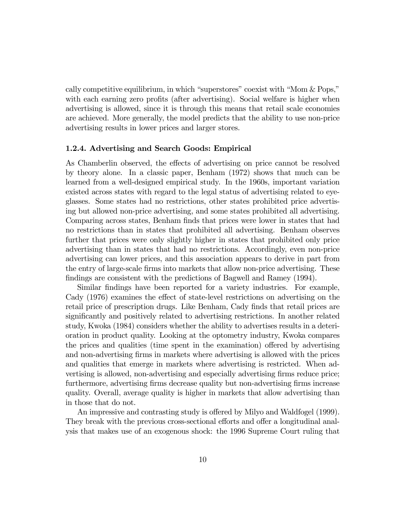cally competitive equilibrium, in which "superstores" coexist with "Mom & Pops," with each earning zero profits (after advertising). Social welfare is higher when advertising is allowed, since it is through this means that retail scale economies are achieved. More generally, the model predicts that the ability to use non-price advertising results in lower prices and larger stores.

#### 1.2.4. Advertising and Search Goods: Empirical

As Chamberlin observed, the effects of advertising on price cannot be resolved by theory alone. In a classic paper, Benham (1972) shows that much can be learned from a well-designed empirical study. In the 1960s, important variation existed across states with regard to the legal status of advertising related to eyeglasses. Some states had no restrictions, other states prohibited price advertising but allowed non-price advertising, and some states prohibited all advertising. Comparing across states, Benham finds that prices were lower in states that had no restrictions than in states that prohibited all advertising. Benham observes further that prices were only slightly higher in states that prohibited only price advertising than in states that had no restrictions. Accordingly, even non-price advertising can lower prices, and this association appears to derive in part from the entry of large-scale firms into markets that allow non-price advertising. These findings are consistent with the predictions of Bagwell and Ramey (1994).

Similar findings have been reported for a variety industries. For example, Cady (1976) examines the effect of state-level restrictions on advertising on the retail price of prescription drugs. Like Benham, Cady finds that retail prices are significantly and positively related to advertising restrictions. In another related study, Kwoka (1984) considers whether the ability to advertises results in a deterioration in product quality. Looking at the optometry industry, Kwoka compares the prices and qualities (time spent in the examination) offered by advertising and non-advertising firms in markets where advertising is allowed with the prices and qualities that emerge in markets where advertising is restricted. When advertising is allowed, non-advertising and especially advertising firms reduce price; furthermore, advertising firms decrease quality but non-advertising firms increase quality. Overall, average quality is higher in markets that allow advertising than in those that do not.

An impressive and contrasting study is offered by Milyo and Waldfogel (1999). They break with the previous cross-sectional efforts and offer a longitudinal analysis that makes use of an exogenous shock: the 1996 Supreme Court ruling that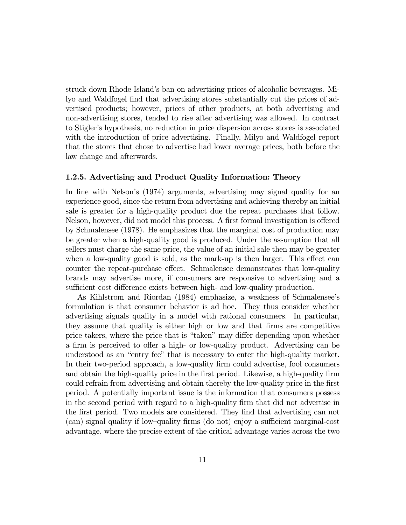struck down Rhode Island's ban on advertising prices of alcoholic beverages. Milyo and Waldfogel find that advertising stores substantially cut the prices of advertised products; however, prices of other products, at both advertising and non-advertising stores, tended to rise after advertising was allowed. In contrast to Stigler's hypothesis, no reduction in price dispersion across stores is associated with the introduction of price advertising. Finally, Milyo and Waldfogel report that the stores that chose to advertise had lower average prices, both before the law change and afterwards.

## 1.2.5. Advertising and Product Quality Information: Theory

In line with Nelson's (1974) arguments, advertising may signal quality for an experience good, since the return from advertising and achieving thereby an initial sale is greater for a high-quality product due the repeat purchases that follow. Nelson, however, did not model this process. A first formal investigation is offered by Schmalensee (1978). He emphasizes that the marginal cost of production may be greater when a high-quality good is produced. Under the assumption that all sellers must charge the same price, the value of an initial sale then may be greater when a low-quality good is sold, as the mark-up is then larger. This effect can counter the repeat-purchase effect. Schmalensee demonstrates that low-quality brands may advertise more, if consumers are responsive to advertising and a sufficient cost difference exists between high- and low-quality production.

As Kihlstrom and Riordan (1984) emphasize, a weakness of Schmalensee's formulation is that consumer behavior is ad hoc. They thus consider whether advertising signals quality in a model with rational consumers. In particular, they assume that quality is either high or low and that firms are competitive price takers, where the price that is "taken" may differ depending upon whether a firm is perceived to offer a high- or low-quality product. Advertising can be understood as an "entry fee" that is necessary to enter the high-quality market. In their two-period approach, a low-quality firm could advertise, fool consumers and obtain the high-quality price in the first period. Likewise, a high-quality firm could refrain from advertising and obtain thereby the low-quality price in the first period. A potentially important issue is the information that consumers possess in the second period with regard to a high-quality firm that did not advertise in the first period. Two models are considered. They find that advertising can not (can) signal quality if low—quality firms (do not) enjoy a sufficient marginal-cost advantage, where the precise extent of the critical advantage varies across the two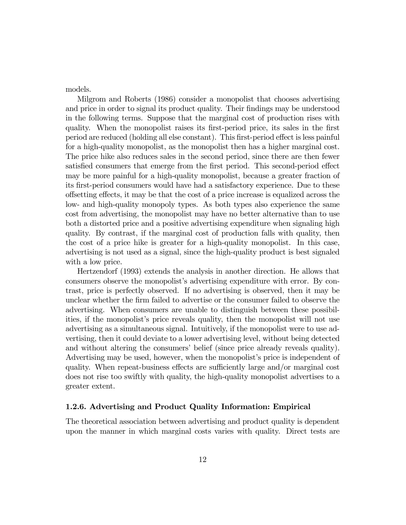models.

Milgrom and Roberts (1986) consider a monopolist that chooses advertising and price in order to signal its product quality. Their findings may be understood in the following terms. Suppose that the marginal cost of production rises with quality. When the monopolist raises its first-period price, its sales in the first period are reduced (holding all else constant). This first-period effect is less painful for a high-quality monopolist, as the monopolist then has a higher marginal cost. The price hike also reduces sales in the second period, since there are then fewer satisfied consumers that emerge from the first period. This second-period effect may be more painful for a high-quality monopolist, because a greater fraction of its first-period consumers would have had a satisfactory experience. Due to these offsetting effects, it may be that the cost of a price increase is equalized across the low- and high-quality monopoly types. As both types also experience the same cost from advertising, the monopolist may have no better alternative than to use both a distorted price and a positive advertising expenditure when signaling high quality. By contrast, if the marginal cost of production falls with quality, then the cost of a price hike is greater for a high-quality monopolist. In this case, advertising is not used as a signal, since the high-quality product is best signaled with a low price.

Hertzendorf (1993) extends the analysis in another direction. He allows that consumers observe the monopolist's advertising expenditure with error. By contrast, price is perfectly observed. If no advertising is observed, then it may be unclear whether the firm failed to advertise or the consumer failed to observe the advertising. When consumers are unable to distinguish between these possibilities, if the monopolist's price reveals quality, then the monopolist will not use advertising as a simultaneous signal. Intuitively, if the monopolist were to use advertising, then it could deviate to a lower advertising level, without being detected and without altering the consumers' belief (since price already reveals quality). Advertising may be used, however, when the monopolist's price is independent of quality. When repeat-business effects are sufficiently large and/or marginal cost does not rise too swiftly with quality, the high-quality monopolist advertises to a greater extent.

#### 1.2.6. Advertising and Product Quality Information: Empirical

The theoretical association between advertising and product quality is dependent upon the manner in which marginal costs varies with quality. Direct tests are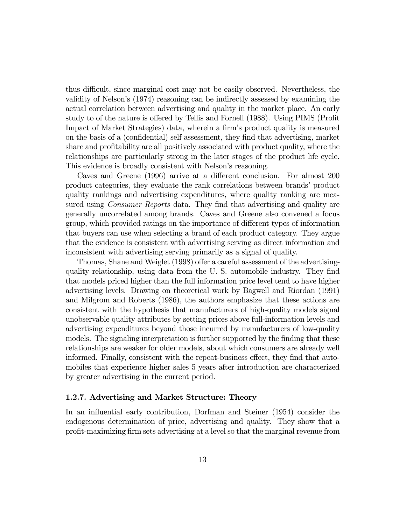thus difficult, since marginal cost may not be easily observed. Nevertheless, the validity of Nelson's (1974) reasoning can be indirectly assessed by examining the actual correlation between advertising and quality in the market place. An early study to of the nature is offered by Tellis and Fornell (1988). Using PIMS (Profit Impact of Market Strategies) data, wherein a firm's product quality is measured on the basis of a (confidential) self assessment, they find that advertising, market share and profitability are all positively associated with product quality, where the relationships are particularly strong in the later stages of the product life cycle. This evidence is broadly consistent with Nelson's reasoning.

Caves and Greene (1996) arrive at a different conclusion. For almost 200 product categories, they evaluate the rank correlations between brands' product quality rankings and advertising expenditures, where quality ranking are measured using Consumer Reports data. They find that advertising and quality are generally uncorrelated among brands. Caves and Greene also convened a focus group, which provided ratings on the importance of different types of information that buyers can use when selecting a brand of each product category. They argue that the evidence is consistent with advertising serving as direct information and inconsistent with advertising serving primarily as a signal of quality.

Thomas, Shane and Weiglet (1998) offer a careful assessment of the advertisingquality relationship, using data from the U. S. automobile industry. They find that models priced higher than the full information price level tend to have higher advertising levels. Drawing on theoretical work by Bagwell and Riordan (1991) and Milgrom and Roberts (1986), the authors emphasize that these actions are consistent with the hypothesis that manufacturers of high-quality models signal unobservable quality attributes by setting prices above full-information levels and advertising expenditures beyond those incurred by manufacturers of low-quality models. The signaling interpretation is further supported by the finding that these relationships are weaker for older models, about which consumers are already well informed. Finally, consistent with the repeat-business effect, they find that automobiles that experience higher sales 5 years after introduction are characterized by greater advertising in the current period.

# 1.2.7. Advertising and Market Structure: Theory

In an influential early contribution, Dorfman and Steiner (1954) consider the endogenous determination of price, advertising and quality. They show that a profit-maximizing firm sets advertising at a level so that the marginal revenue from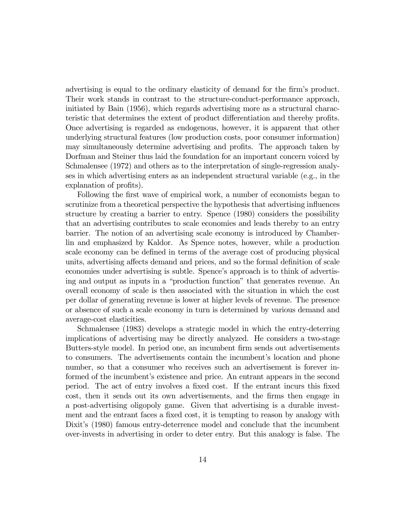advertising is equal to the ordinary elasticity of demand for the firm's product. Their work stands in contrast to the structure-conduct-performance approach, initiated by Bain (1956), which regards advertising more as a structural characteristic that determines the extent of product differentiation and thereby profits. Once advertising is regarded as endogenous, however, it is apparent that other underlying structural features (low production costs, poor consumer information) may simultaneously determine advertising and profits. The approach taken by Dorfman and Steiner thus laid the foundation for an important concern voiced by Schmalensee (1972) and others as to the interpretation of single-regression analyses in which advertising enters as an independent structural variable (e.g., in the explanation of profits).

Following the first wave of empirical work, a number of economists began to scrutinize from a theoretical perspective the hypothesis that advertising influences structure by creating a barrier to entry. Spence (1980) considers the possibility that an advertising contributes to scale economies and leads thereby to an entry barrier. The notion of an advertising scale economy is introduced by Chamberlin and emphasized by Kaldor. As Spence notes, however, while a production scale economy can be defined in terms of the average cost of producing physical units, advertising affects demand and prices, and so the formal definition of scale economies under advertising is subtle. Spence's approach is to think of advertising and output as inputs in a "production function" that generates revenue. An overall economy of scale is then associated with the situation in which the cost per dollar of generating revenue is lower at higher levels of revenue. The presence or absence of such a scale economy in turn is determined by various demand and average-cost elasticities.

Schmalensee (1983) develops a strategic model in which the entry-deterring implications of advertising may be directly analyzed. He considers a two-stage Butters-style model. In period one, an incumbent firm sends out advertisements to consumers. The advertisements contain the incumbent's location and phone number, so that a consumer who receives such an advertisement is forever informed of the incumbent's existence and price. An entrant appears in the second period. The act of entry involves a fixed cost. If the entrant incurs this fixed cost, then it sends out its own advertisements, and the firms then engage in a post-advertising oligopoly game. Given that advertising is a durable investment and the entrant faces a fixed cost, it is tempting to reason by analogy with Dixit's (1980) famous entry-deterrence model and conclude that the incumbent over-invests in advertising in order to deter entry. But this analogy is false. The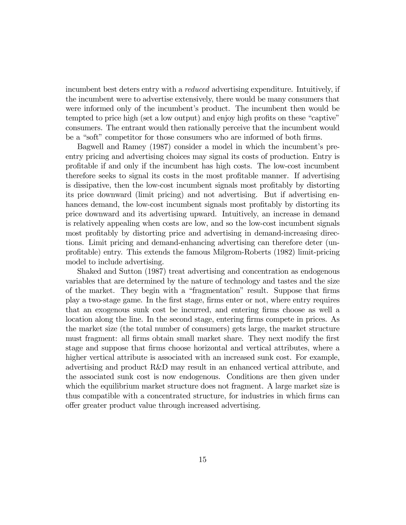incumbent best deters entry with a reduced advertising expenditure. Intuitively, if the incumbent were to advertise extensively, there would be many consumers that were informed only of the incumbent's product. The incumbent then would be tempted to price high (set a low output) and enjoy high profits on these "captive" consumers. The entrant would then rationally perceive that the incumbent would be a "soft" competitor for those consumers who are informed of both firms.

Bagwell and Ramey (1987) consider a model in which the incumbent's preentry pricing and advertising choices may signal its costs of production. Entry is profitable if and only if the incumbent has high costs. The low-cost incumbent therefore seeks to signal its costs in the most profitable manner. If advertising is dissipative, then the low-cost incumbent signals most profitably by distorting its price downward (limit pricing) and not advertising. But if advertising enhances demand, the low-cost incumbent signals most profitably by distorting its price downward and its advertising upward. Intuitively, an increase in demand is relatively appealing when costs are low, and so the low-cost incumbent signals most profitably by distorting price and advertising in demand-increasing directions. Limit pricing and demand-enhancing advertising can therefore deter (unprofitable) entry. This extends the famous Milgrom-Roberts (1982) limit-pricing model to include advertising.

Shaked and Sutton (1987) treat advertising and concentration as endogenous variables that are determined by the nature of technology and tastes and the size of the market. They begin with a "fragmentation" result. Suppose that firms play a two-stage game. In the first stage, firms enter or not, where entry requires that an exogenous sunk cost be incurred, and entering firms choose as well a location along the line. In the second stage, entering firms compete in prices. As the market size (the total number of consumers) gets large, the market structure must fragment: all firms obtain small market share. They next modify the first stage and suppose that firms choose horizontal and vertical attributes, where a higher vertical attribute is associated with an increased sunk cost. For example, advertising and product R&D may result in an enhanced vertical attribute, and the associated sunk cost is now endogenous. Conditions are then given under which the equilibrium market structure does not fragment. A large market size is thus compatible with a concentrated structure, for industries in which firms can offer greater product value through increased advertising.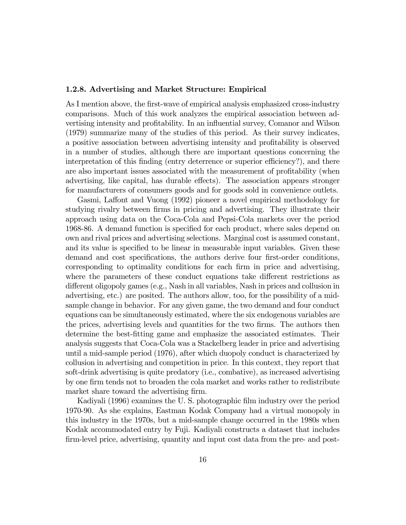#### 1.2.8. Advertising and Market Structure: Empirical

As I mention above, the first-wave of empirical analysis emphasized cross-industry comparisons. Much of this work analyzes the empirical association between advertising intensity and profitability. In an influential survey, Comanor and Wilson (1979) summarize many of the studies of this period. As their survey indicates, a positive association between advertising intensity and profitability is observed in a number of studies, although there are important questions concerning the interpretation of this finding (entry deterrence or superior efficiency?), and there are also important issues associated with the measurement of profitability (when advertising, like capital, has durable effects). The association appears stronger for manufacturers of consumers goods and for goods sold in convenience outlets.

Gasmi, Laffont and Vuong (1992) pioneer a novel empirical methodology for studying rivalry between firms in pricing and advertising. They illustrate their approach using data on the Coca-Cola and Pepsi-Cola markets over the period 1968-86. A demand function is specified for each product, where sales depend on own and rival prices and advertising selections. Marginal cost is assumed constant, and its value is specified to be linear in measurable input variables. Given these demand and cost specifications, the authors derive four first-order conditions, corresponding to optimality conditions for each firm in price and advertising, where the parameters of these conduct equations take different restrictions as different oligopoly games (e.g., Nash in all variables, Nash in prices and collusion in advertising, etc.) are posited. The authors allow, too, for the possibility of a midsample change in behavior. For any given game, the two demand and four conduct equations can be simultaneously estimated, where the six endogenous variables are the prices, advertising levels and quantities for the two firms. The authors then determine the best-fitting game and emphasize the associated estimates. Their analysis suggests that Coca-Cola was a Stackelberg leader in price and advertising until a mid-sample period (1976), after which duopoly conduct is characterized by collusion in advertising and competition in price. In this context, they report that soft-drink advertising is quite predatory (i.e., combative), as increased advertising by one firm tends not to broaden the cola market and works rather to redistribute market share toward the advertising firm.

Kadiyali (1996) examines the U. S. photographic film industry over the period 1970-90. As she explains, Eastman Kodak Company had a virtual monopoly in this industry in the 1970s, but a mid-sample change occurred in the 1980s when Kodak accommodated entry by Fuji. Kadiyali constructs a dataset that includes firm-level price, advertising, quantity and input cost data from the pre- and post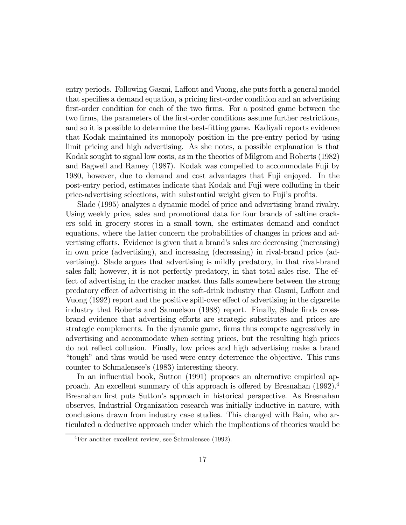entry periods. Following Gasmi, Laffont and Vuong, she puts forth a general model that specifies a demand equation, a pricing first-order condition and an advertising first-order condition for each of the two firms. For a posited game between the two firms, the parameters of the first-order conditions assume further restrictions, and so it is possible to determine the best-fitting game. Kadiyali reports evidence that Kodak maintained its monopoly position in the pre-entry period by using limit pricing and high advertising. As she notes, a possible explanation is that Kodak sought to signal low costs, as in the theories of Milgrom and Roberts (1982) and Bagwell and Ramey (1987). Kodak was compelled to accommodate Fuji by 1980, however, due to demand and cost advantages that Fuji enjoyed. In the post-entry period, estimates indicate that Kodak and Fuji were colluding in their price-advertising selections, with substantial weight given to Fuji's profits.

Slade (1995) analyzes a dynamic model of price and advertising brand rivalry. Using weekly price, sales and promotional data for four brands of saltine crackers sold in grocery stores in a small town, she estimates demand and conduct equations, where the latter concern the probabilities of changes in prices and advertising efforts. Evidence is given that a brand's sales are decreasing (increasing) in own price (advertising), and increasing (decreasing) in rival-brand price (advertising). Slade argues that advertising is mildly predatory, in that rival-brand sales fall; however, it is not perfectly predatory, in that total sales rise. The effect of advertising in the cracker market thus falls somewhere between the strong predatory effect of advertising in the soft-drink industry that Gasmi, Laffont and Vuong (1992) report and the positive spill-over effect of advertising in the cigarette industry that Roberts and Samuelson (1988) report. Finally, Slade finds crossbrand evidence that advertising efforts are strategic substitutes and prices are strategic complements. In the dynamic game, firms thus compete aggressively in advertising and accommodate when setting prices, but the resulting high prices do not reflect collusion. Finally, low prices and high advertising make a brand "tough" and thus would be used were entry deterrence the objective. This runs counter to Schmalensee's (1983) interesting theory.

In an influential book, Sutton (1991) proposes an alternative empirical approach. An excellent summary of this approach is offered by Bresnahan (1992).4 Bresnahan first puts Sutton's approach in historical perspective. As Bresnahan observes, Industrial Organization research was initially inductive in nature, with conclusions drawn from industry case studies. This changed with Bain, who articulated a deductive approach under which the implications of theories would be

<sup>4</sup>For another excellent review, see Schmalensee (1992).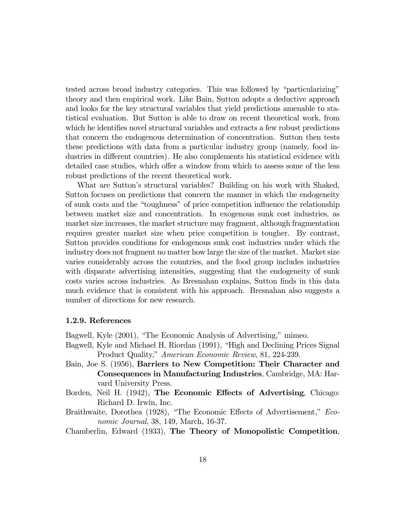tested across broad industry categories. This was followed by "particularizing" theory and then empirical work. Like Bain, Sutton adopts a deductive approach and looks for the key structural variables that yield predictions amenable to statistical evaluation. But Sutton is able to draw on recent theoretical work, from which he identifies novel structural variables and extracts a few robust predictions that concern the endogenous determination of concentration. Sutton then tests these predictions with data from a particular industry group (namely, food industries in different countries). He also complements his statistical evidence with detailed case studies, which offer a window from which to assess some of the less robust predictions of the recent theoretical work.

What are Sutton's structural variables? Building on his work with Shaked, Sutton focuses on predictions that concern the manner in which the endogeneity of sunk costs and the "toughness" of price competition influence the relationship between market size and concentration. In exogenous sunk cost industries, as market size increases, the market structure may fragment, although fragmentation requires greater market size when price competition is tougher. By contrast, Sutton provides conditions for endogenous sunk cost industries under which the industry does not fragment no matter how large the size of the market. Market size varies considerably across the countries, and the food group includes industries with disparate advertising intensities, suggesting that the endogeneity of sunk costs varies across industries. As Bresnahan explains, Sutton finds in this data much evidence that is consistent with his approach. Bresnahan also suggests a number of directions for new research.

# 1.2.9. References

Bagwell, Kyle (2001), "The Economic Analysis of Advertising," mimeo.

- Bagwell, Kyle and Michael H. Riordan (1991), "High and Declining Prices Signal Product Quality," American Economic Review, 81, 224-239.
- Bain, Joe S. (1956), Barriers to New Competition: Their Character and Consequences in Manufacturing Industries, Cambridge, MA: Harvard University Press.
- Borden, Neil H. (1942), The Economic Effects of Advertising, Chicago: Richard D. Irwin, Inc.
- Braithwaite, Dorothea (1928), "The Economic Effects of Advertisement," Economic Journal, 38, 149, March, 16-37.

Chamberlin, Edward (1933), The Theory of Monopolistic Competition,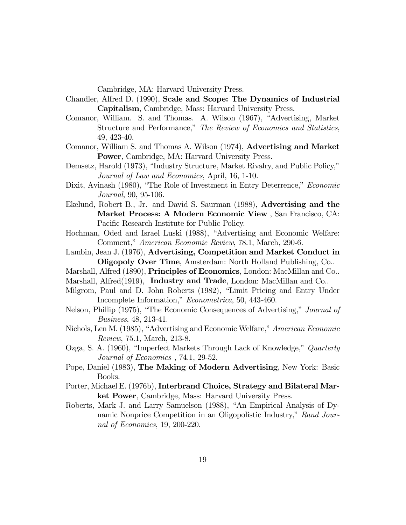Cambridge, MA: Harvard University Press.

- Chandler, Alfred D. (1990), Scale and Scope: The Dynamics of Industrial Capitalism, Cambridge, Mass: Harvard University Press.
- Comanor, William. S. and Thomas. A. Wilson (1967), "Advertising, Market Structure and Performance," The Review of Economics and Statistics, 49, 423-40.
- Comanor, William S. and Thomas A. Wilson (1974), Advertising and Market Power, Cambridge, MA: Harvard University Press.
- Demsetz, Harold (1973), "Industry Structure, Market Rivalry, and Public Policy," Journal of Law and Economics, April, 16, 1-10.
- Dixit, Avinash (1980), "The Role of Investment in Entry Deterrence," Economic Journal, 90, 95-106.
- Ekelund, Robert B., Jr. and David S. Saurman (1988), Advertising and the Market Process: A Modern Economic View , San Francisco, CA: Pacific Research Institute for Public Policy.
- Hochman, Oded and Israel Luski (1988), "Advertising and Economic Welfare: Comment," American Economic Review, 78.1, March, 290-6.
- Lambin, Jean J. (1976), Advertising, Competition and Market Conduct in Oligopoly Over Time, Amsterdam: North Holland Publishing, Co..
- Marshall, Alfred (1890), Principles of Economics, London: MacMillan and Co..
- Marshall, Alfred(1919), Industry and Trade, London: MacMillan and Co..
- Milgrom, Paul and D. John Roberts (1982), "Limit Pricing and Entry Under Incomplete Information," Econometrica, 50, 443-460.
- Nelson, Phillip (1975), "The Economic Consequences of Advertising," Journal of Business, 48, 213-41.
- Nichols, Len M. (1985), "Advertising and Economic Welfare," American Economic Review, 75.1, March, 213-8.
- Ozga, S. A. (1960), "Imperfect Markets Through Lack of Knowledge," Quarterly Journal of Economics , 74.1, 29-52.
- Pope, Daniel (1983), The Making of Modern Advertising, New York: Basic Books.
- Porter, Michael E. (1976b), Interbrand Choice, Strategy and Bilateral Market Power, Cambridge, Mass: Harvard University Press.
- Roberts, Mark J. and Larry Samuelson (1988), "An Empirical Analysis of Dynamic Nonprice Competition in an Oligopolistic Industry," Rand Journal of Economics, 19, 200-220.